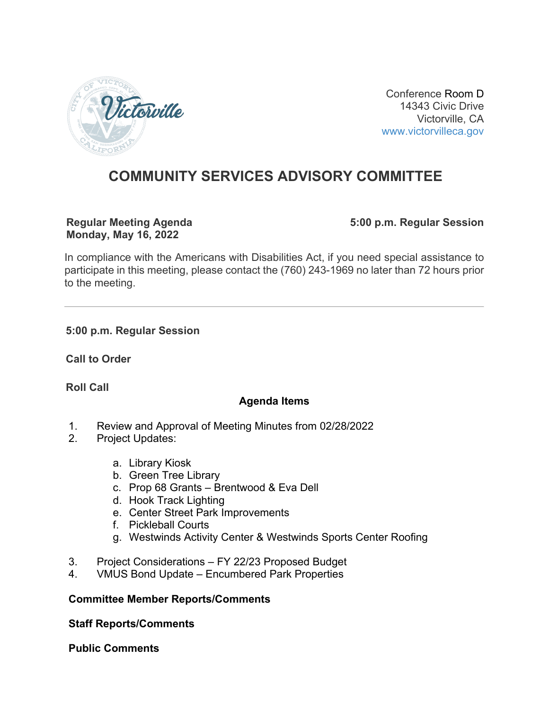

Conference Room D 14343 Civic Drive Victorville, CA [www.victorvilleca.gov](http://www.victorvilleca.gov/)

# **COMMUNITY SERVICES ADVISORY COMMITTEE**

#### **Regular Meeting Agenda Monday, May 16, 2022**

**5:00 p.m. Regular Session**

In compliance with the Americans with Disabilities Act, if you need special assistance to participate in this meeting, please contact the (760) 243-1969 no later than 72 hours prior to the meeting.

#### **5:00 p.m. Regular Session**

**Call to Order**

**Roll Call**

# **Agenda Items**

- 1. Review and Approval of Meeting Minutes from 02/28/2022
- 2. Project Updates:
	- a. Library Kiosk
	- b. Green Tree Library
	- c. Prop 68 Grants Brentwood & Eva Dell
	- d. Hook Track Lighting
	- e. Center Street Park Improvements
	- f. Pickleball Courts
	- g. Westwinds Activity Center & Westwinds Sports Center Roofing
- 3. Project Considerations FY 22/23 Proposed Budget
- 4. VMUS Bond Update Encumbered Park Properties

#### **Committee Member Reports/Comments**

**Staff Reports/Comments**

**Public Comments**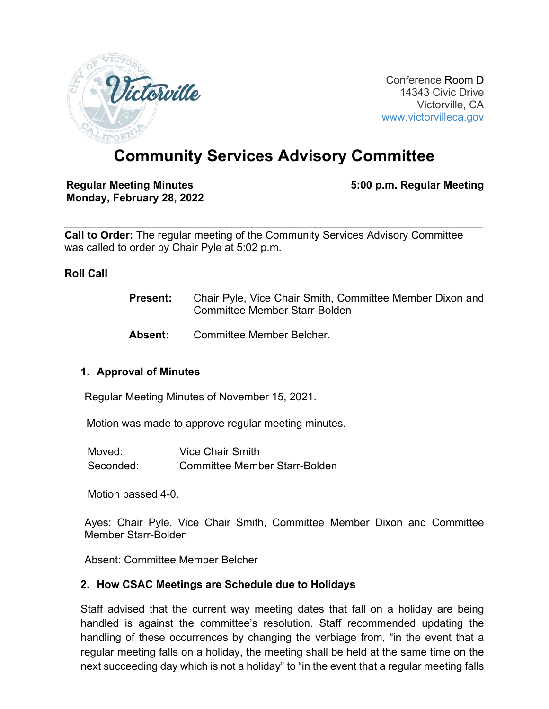

Conference Room D 14343 Civic Drive Victorville, CA [www.victorvilleca.gov](http://www.victorvilleca.gov/)

# **Community Services Advisory Committee**

#### **Regular Meeting Minutes Monday, February 28, 2022**

**5:00 p.m. Regular Meeting**

 $\mathcal{L}_\mathcal{L} = \{ \mathcal{L}_\mathcal{L} = \{ \mathcal{L}_\mathcal{L} = \{ \mathcal{L}_\mathcal{L} = \{ \mathcal{L}_\mathcal{L} = \{ \mathcal{L}_\mathcal{L} = \{ \mathcal{L}_\mathcal{L} = \{ \mathcal{L}_\mathcal{L} = \{ \mathcal{L}_\mathcal{L} = \{ \mathcal{L}_\mathcal{L} = \{ \mathcal{L}_\mathcal{L} = \{ \mathcal{L}_\mathcal{L} = \{ \mathcal{L}_\mathcal{L} = \{ \mathcal{L}_\mathcal{L} = \{ \mathcal{L}_\mathcal{$ **Call to Order:** The regular meeting of the Community Services Advisory Committee was called to order by Chair Pyle at 5:02 p.m.

#### **Roll Call**

- **Present:** Chair Pyle, Vice Chair Smith, Committee Member Dixon and Committee Member Starr-Bolden
- **Absent:** Committee Member Belcher.

#### **1. Approval of Minutes**

Regular Meeting Minutes of November 15, 2021.

Motion was made to approve regular meeting minutes.

| Moved:    | Vice Chair Smith                     |
|-----------|--------------------------------------|
| Seconded: | <b>Committee Member Starr-Bolden</b> |

Motion passed 4-0.

Ayes: Chair Pyle, Vice Chair Smith, Committee Member Dixon and Committee Member Starr-Bolden

Absent: Committee Member Belcher

#### **2. How CSAC Meetings are Schedule due to Holidays**

Staff advised that the current way meeting dates that fall on a holiday are being handled is against the committee's resolution. Staff recommended updating the handling of these occurrences by changing the verbiage from, "in the event that a regular meeting falls on a holiday, the meeting shall be held at the same time on the next succeeding day which is not a holiday" to "in the event that a regular meeting falls